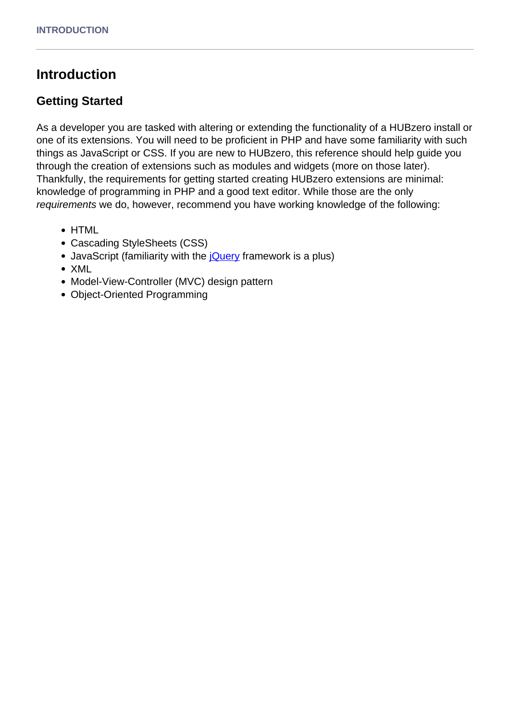# **Introduction**

# **Getting Started**

As a developer you are tasked with altering or extending the functionality of a HUBzero install or one of its extensions. You will need to be proficient in PHP and have some familiarity with such things as JavaScript or CSS. If you are new to HUBzero, this reference should help guide you through the creation of extensions such as modules and widgets (more on those later). Thankfully, the requirements for getting started creating HUBzero extensions are minimal: knowledge of programming in PHP and a good text editor. While those are the only requirements we do, however, recommend you have working knowledge of the following:

- HTML
- Cascading StyleSheets (CSS)
- JavaScript (familiarity with the jouery framework is a plus)
- XML
- Model-View-Controller (MVC) design pattern
- Object-Oriented Programming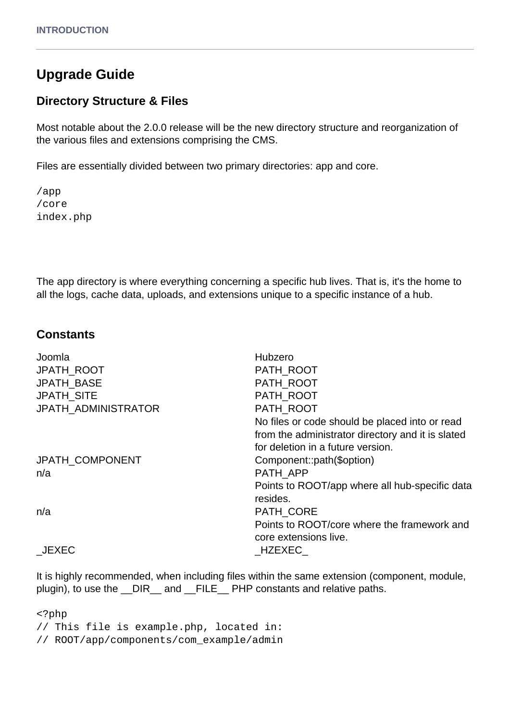# **Upgrade Guide**

### **Directory Structure & Files**

Most notable about the 2.0.0 release will be the new directory structure and reorganization of the various files and extensions comprising the CMS.

Files are essentially divided between two primary directories: app and core.

/app /core index.php

The app directory is where everything concerning a specific hub lives. That is, it's the home to all the logs, cache data, uploads, and extensions unique to a specific instance of a hub.

### **Constants**

| Joomla                     | Hubzero                                           |
|----------------------------|---------------------------------------------------|
| <b>JPATH ROOT</b>          | PATH ROOT                                         |
| <b>JPATH BASE</b>          | PATH ROOT                                         |
| <b>JPATH_SITE</b>          | PATH_ROOT                                         |
| <b>JPATH ADMINISTRATOR</b> | PATH ROOT                                         |
|                            | No files or code should be placed into or read    |
|                            | from the administrator directory and it is slated |
|                            | for deletion in a future version.                 |
| <b>JPATH COMPONENT</b>     | Component::path(\$option)                         |
| n/a                        | PATH APP                                          |
|                            | Points to ROOT/app where all hub-specific data    |
|                            | resides.                                          |
| n/a                        | PATH CORE                                         |
|                            | Points to ROOT/core where the framework and       |
|                            | core extensions live.                             |
| JEXEC                      | HZEXEC                                            |
|                            |                                                   |

It is highly recommended, when including files within the same extension (component, module, plugin), to use the DIR and FILE PHP constants and relative paths.

<?php // This file is example.php, located in: // ROOT/app/components/com\_example/admin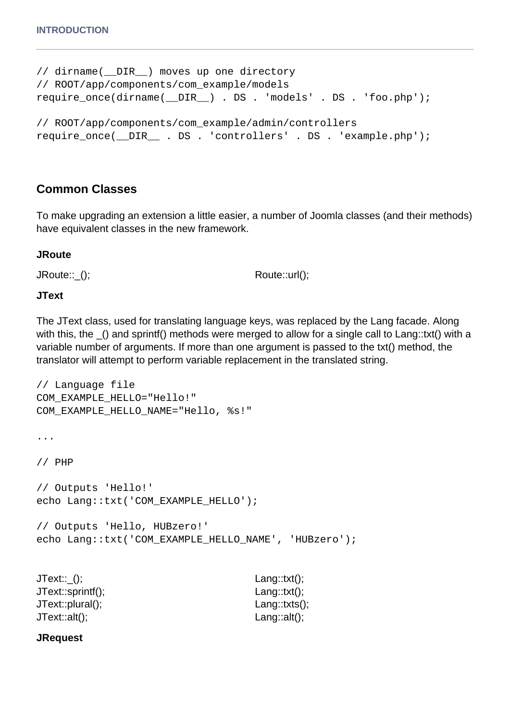```
// dirname(__DIR__) moves up one directory
// ROOT/app/components/com_example/models
require_once(dirname(__DIR__) . DS . 'models' . DS . 'foo.php');
// ROOT/app/components/com_example/admin/controllers
require_once(__DIR__ . DS . 'controllers' . DS . 'example.php');
```
# **Common Classes**

To make upgrading an extension a little easier, a number of Joomla classes (and their methods) have equivalent classes in the new framework.

#### **JRoute**

JRoute::\_(); Route::url();

#### **JText**

The JText class, used for translating language keys, was replaced by the Lang facade. Along with this, the () and sprintf() methods were merged to allow for a single call to Lang::txt() with a variable number of arguments. If more than one argument is passed to the txt() method, the translator will attempt to perform variable replacement in the translated string.

```
// Language file
COM_EXAMPLE_HELLO="Hello!"
COM_EXAMPLE_HELLO_NAME="Hello, %s!"
...
// PHP
// Outputs 'Hello!'
echo Lang::txt('COM_EXAMPLE_HELLO');
// Outputs 'Hello, HUBzero!'
echo Lang::txt('COM_EXAMPLE_HELLO_NAME', 'HUBzero');
```

| JText::_();       | Lang:: $txt()$ ;     |
|-------------------|----------------------|
| JText::sprintf(); | Lang:: $txt()$ ;     |
| JText::plural();  | $L$ ang::txts $()$ ; |
| JText::alt();     | Lang:: $alt()$ ;     |

#### **JRequest**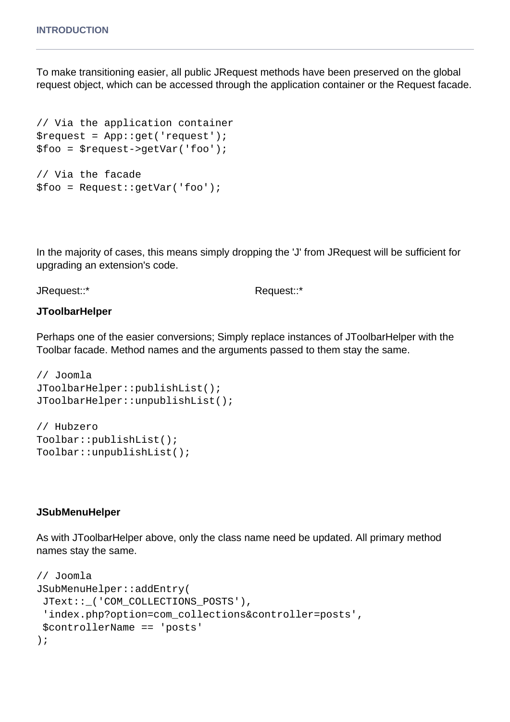To make transitioning easier, all public JRequest methods have been preserved on the global request object, which can be accessed through the application container or the Request facade.

```
// Via the application container
$request = App::get('request');
$foo = $request->getVar('foo');
// Via the facade
$foo = Request::getVar('foo');
```
In the majority of cases, this means simply dropping the 'J' from JRequest will be sufficient for upgrading an extension's code.

JRequest::\* Request::\*

#### **JToolbarHelper**

Perhaps one of the easier conversions; Simply replace instances of JToolbarHelper with the Toolbar facade. Method names and the arguments passed to them stay the same.

```
// Joomla
JToolbarHelper::publishList();
JToolbarHelper::unpublishList();
```
// Hubzero Toolbar::publishList(); Toolbar::unpublishList();

#### **JSubMenuHelper**

As with JToolbarHelper above, only the class name need be updated. All primary method names stay the same.

```
// Joomla
JSubMenuHelper::addEntry(
  JText::_('COM_COLLECTIONS_POSTS'),
  'index.php?option=com_collections&controller=posts',
  $controllerName == 'posts'
);
```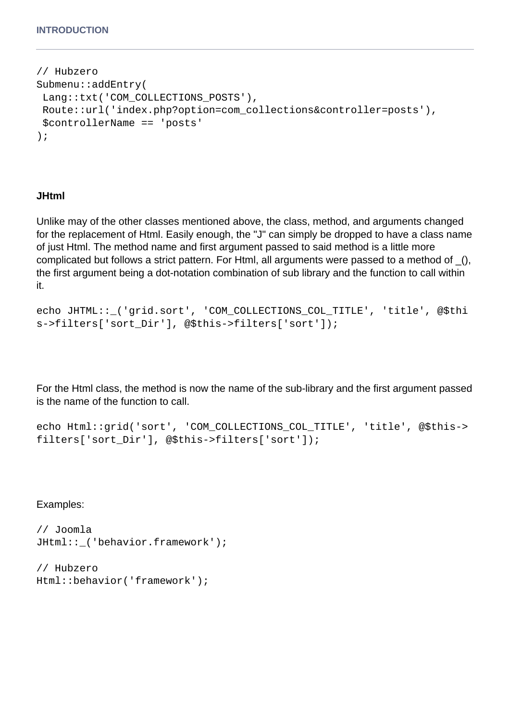```
// Hubzero
Submenu::addEntry(
 Lang::txt('COM_COLLECTIONS_POSTS'),
 Route::url('index.php?option=com_collections&controller=posts'),
 $controllerName == 'posts'
);
```
#### **JHtml**

Unlike may of the other classes mentioned above, the class, method, and arguments changed for the replacement of Html. Easily enough, the "J" can simply be dropped to have a class name of just Html. The method name and first argument passed to said method is a little more complicated but follows a strict pattern. For Html, all arguments were passed to a method of \_(), the first argument being a dot-notation combination of sub library and the function to call within it.

```
echo JHTML::_('grid.sort', 'COM_COLLECTIONS_COL_TITLE', 'title', @$thi
s->filters['sort Dir'], @$this->filters['sort']);
```
For the Html class, the method is now the name of the sub-library and the first argument passed is the name of the function to call.

```
echo Html::grid('sort', 'COM_COLLECTIONS_COL_TITLE', 'title', @$this->
filters['sort_Dir'], @$this->filters['sort']);
```
Examples:

```
// Joomla
JHtml::_('behavior.framework');
```

```
// Hubzero
Html::behavior('framework');
```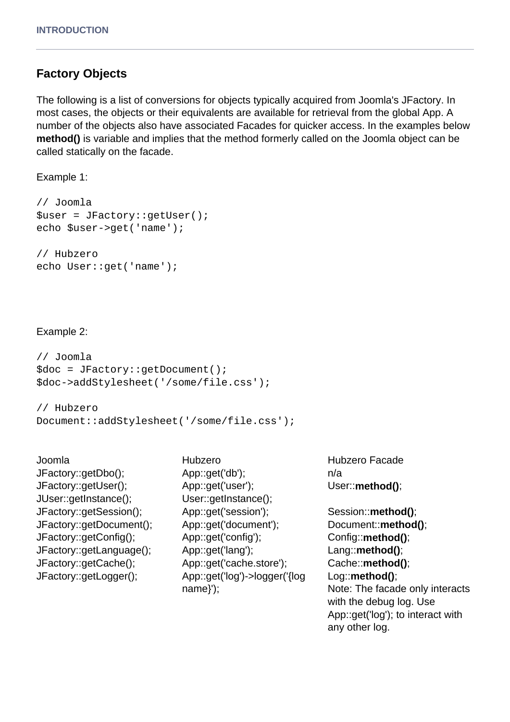## **Factory Objects**

The following is a list of conversions for objects typically acquired from Joomla's JFactory. In most cases, the objects or their equivalents are available for retrieval from the global App. A number of the objects also have associated Facades for quicker access. In the examples below **method()** is variable and implies that the method formerly called on the Joomla object can be called statically on the facade.

Example 1:

```
// Joomla
$user = JFactory::getUser();
echo $user->get('name');
// Hubzero
```

```
echo User::get('name');
```
#### Example 2:

```
// Joomla
$doc = JFactory::getDocument();
$doc->addStylesheet('/some/file.css');
```

```
// Hubzero
Document::addStylesheet('/some/file.css');
```
- JFactory::getUser(); JUser::getInstance();
- Joomla Hubzero Hubzero Facade JFactory::getDbo(); App::get('db'); n/a App::get('user'); User::getInstance(); JFactory::getSession(); App::get('session'); Session::**method()**; JFactory::getDocument(); App::get('document'); Document::**method()**; JFactory::getConfig(); App::get('config'); Config::**method()**; JFactory::getLanguage(); App::get('lang'); Lang::**method()**; JFactory::getCache(); App::get('cache.store'); Cache::**method()**; JFactory::getLogger(); App::get('log')->logger('{log name}');

User::**method()**;

Log::**method()**; Note: The facade only interacts with the debug log. Use App::get('log'); to interact with any other log.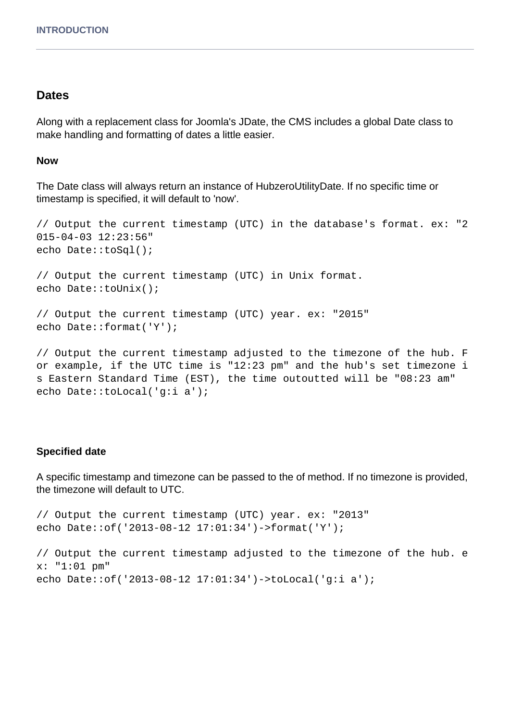#### **Dates**

Along with a replacement class for Joomla's JDate, the CMS includes a global Date class to make handling and formatting of dates a little easier.

#### **Now**

The Date class will always return an instance of HubzeroUtilityDate. If no specific time or timestamp is specified, it will default to 'now'.

```
// Output the current timestamp (UTC) in the database's format. ex: "2
015-04-03 12:23:56"
echo Date::toSql();
// Output the current timestamp (UTC) in Unix format.
echo Date::toUnix();
// Output the current timestamp (UTC) year. ex: "2015"
echo Date::format('Y');
// Output the current timestamp adjusted to the timezone of the hub. F
or example, if the UTC time is "12:23 pm" and the hub's set timezone i
```
s Eastern Standard Time (EST), the time outoutted will be "08:23 am" echo Date::toLocal('g:i a');

#### **Specified date**

A specific timestamp and timezone can be passed to the of method. If no timezone is provided, the timezone will default to UTC.

// Output the current timestamp (UTC) year. ex: "2013" echo Date::of('2013-08-12 17:01:34')->format('Y');

// Output the current timestamp adjusted to the timezone of the hub. e x: "1:01 pm" echo Date::of('2013-08-12 17:01:34')->toLocal('g:i a');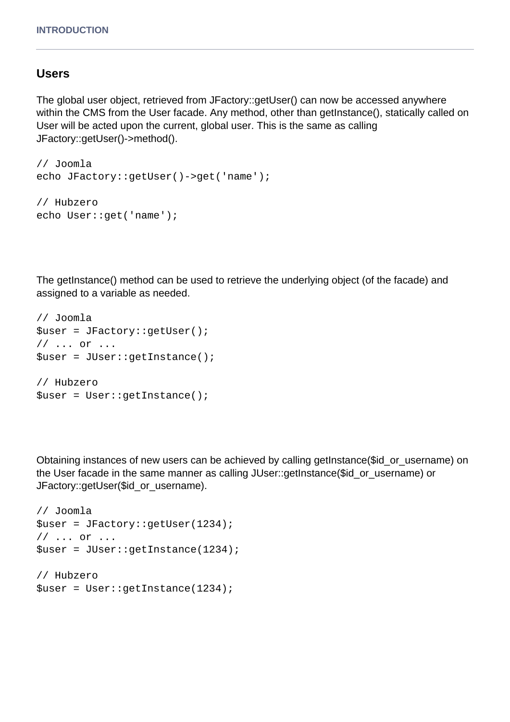### **Users**

The global user object, retrieved from JFactory::getUser() can now be accessed anywhere within the CMS from the User facade. Any method, other than getInstance(), statically called on User will be acted upon the current, global user. This is the same as calling JFactory::getUser()->method().

```
// Joomla
echo JFactory::getUser()->get('name');
```

```
// Hubzero
echo User::get('name');
```
The getInstance() method can be used to retrieve the underlying object (of the facade) and assigned to a variable as needed.

```
// Joomla
$user = JFactory::getUser();
// ... or ...
$user = JUser::getInstance();
// Hubzero
$user = User::getInstance();
```
Obtaining instances of new users can be achieved by calling getInstance(\$id\_or\_username) on the User facade in the same manner as calling JUser::getInstance(\$id\_or\_username) or JFactory::getUser(\$id\_or\_username).

```
// Joomla
$user = JFactory::getUser(1234);
// ... or ...
$user = JUser::getInstance(1234);
// Hubzero
$user = User::getInstance(1234);
```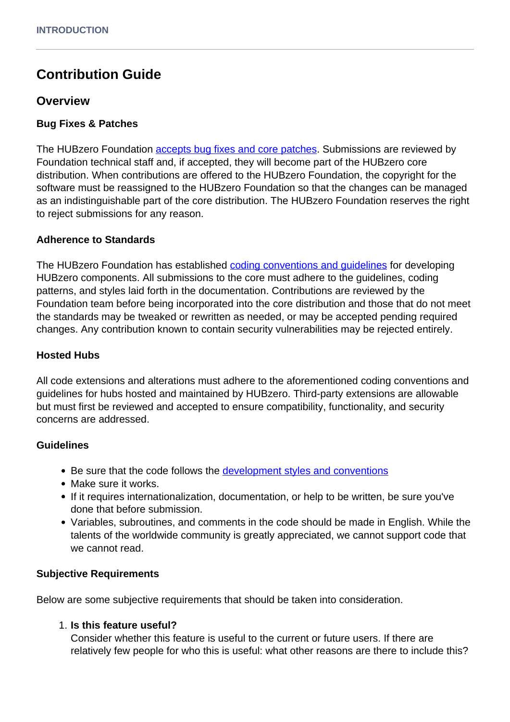# **Contribution Guide**

### **Overview**

#### **Bug Fixes & Patches**

The HUBzero Foundation **[accepts bug fixes and core patches](https://github.com/hubzero/hubzero-cms)**. Submissions are reviewed by Foundation technical staff and, if accepted, they will become part of the HUBzero core distribution. When contributions are offered to the HUBzero Foundation, the copyright for the software must be reassigned to the HUBzero Foundation so that the changes can be managed as an indistinguishable part of the core distribution. The HUBzero Foundation reserves the right to reject submissions for any reason.

#### **Adherence to Standards**

The HUBzero Foundation has established [coding conventions and guidelines](/documentation/22/webdevs/conventions) for developing HUBzero components. All submissions to the core must adhere to the guidelines, coding patterns, and styles laid forth in the documentation. Contributions are reviewed by the Foundation team before being incorporated into the core distribution and those that do not meet the standards may be tweaked or rewritten as needed, or may be accepted pending required changes. Any contribution known to contain security vulnerabilities may be rejected entirely.

#### **Hosted Hubs**

All code extensions and alterations must adhere to the aforementioned coding conventions and guidelines for hubs hosted and maintained by HUBzero. Third-party extensions are allowable but must first be reviewed and accepted to ensure compatibility, functionality, and security concerns are addressed.

#### **Guidelines**

- Be sure that the code follows the [development styles and conventions](/documentation/22/webdevs/conventions)
- Make sure it works.
- If it requires internationalization, documentation, or help to be written, be sure you've done that before submission.
- Variables, subroutines, and comments in the code should be made in English. While the talents of the worldwide community is greatly appreciated, we cannot support code that we cannot read.

#### **Subjective Requirements**

Below are some subjective requirements that should be taken into consideration.

#### 1. **Is this feature useful?**

Consider whether this feature is useful to the current or future users. If there are relatively few people for who this is useful: what other reasons are there to include this?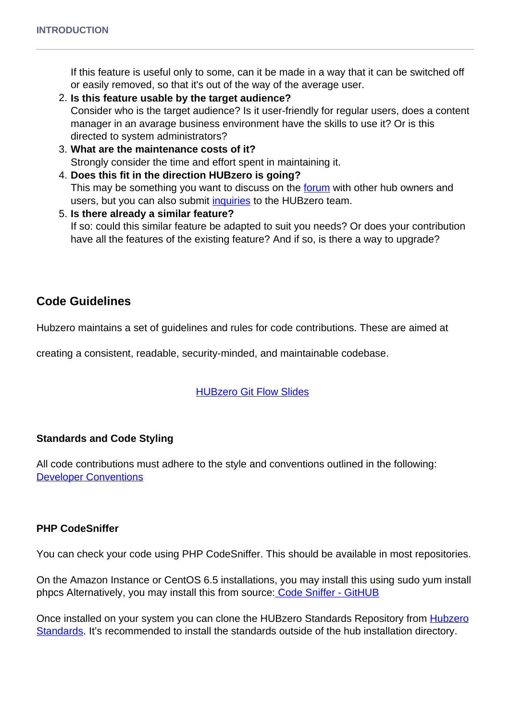If this feature is useful only to some, can it be made in a way that it can be switched off or easily removed, so that it's out of the way of the average user.

- 2. **Is this feature usable by the target audience?** Consider who is the target audience? Is it user-friendly for regular users, does a content manager in an avarage business environment have the skills to use it? Or is this directed to system administrators?
- 3. **What are the maintenance costs of it?** Strongly consider the time and effort spent in maintaining it.
- 4. **Does this fit in the direction HUBzero is going?** This may be something you want to discuss on the [forum](/forum) with other hub owners and users, but you can also submit *inquiries* to the HUBzero team.
- 5. **Is there already a similar feature?** If so: could this similar feature be adapted to suit you needs? Or does your contribution have all the features of the existing feature? And if so, is there a way to upgrade?

# **Code Guidelines**

Hubzero maintains a set of guidelines and rules for code contributions. These are aimed at

creating a consistent, readable, security-minded, and maintainable codebase.

### [HUBzero Git Flow Slides](/resources/1589/download/The_HUBzero_Git_Flow.pdf)

### **Standards and Code Styling**

All code contributions must adhere to the style and conventions outlined in the following: [Developer Conventions](/documentation/22/webdevs/conventions)

### **PHP CodeSniffer**

You can check your code using PHP CodeSniffer. This should be available in most repositories.

On the Amazon Instance or CentOS 6.5 installations, you may install this using sudo yum install phpcs Alternatively, you may install this from source[: Code Sniffer - GitHUB](https://github.com/squizlabs/PHP_CodeSniffer)

Once installed on your system you can clone the HUBzero Standards Repository from [Hubzero](https://github.com/hubzero/standards) [Standards](https://github.com/hubzero/standards). It's recommended to install the standards outside of the hub installation directory.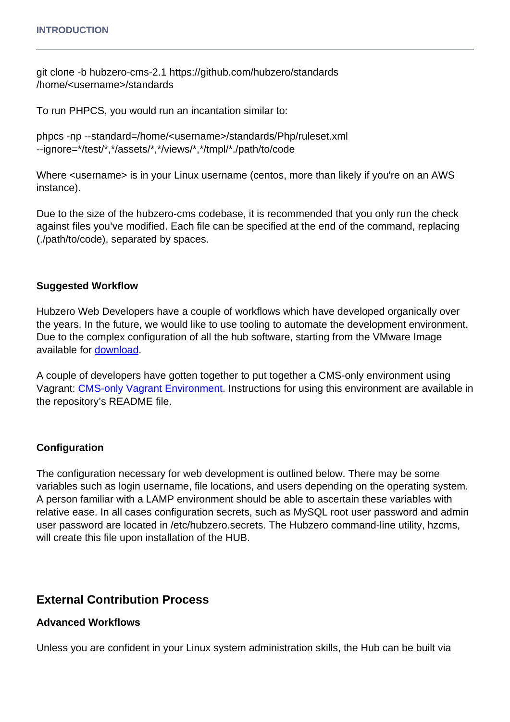git clone -b hubzero-cms-2.1 https://github.com/hubzero/standards /home/<username>/standards

To run PHPCS, you would run an incantation similar to:

```
phpcs -np --standard=/home/<username>/standards/Php/ruleset.xml
--ignore=*/test/*,*/assets/*,*/views/*,*/tmpl/*./path/to/code
```
Where <username> is in your Linux username (centos, more than likely if you're on an AWS instance).

Due to the size of the hubzero-cms codebase, it is recommended that you only run the check against files you've modified. Each file can be specified at the end of the command, replacing (./path/to/code), separated by spaces.

#### **Suggested Workflow**

Hubzero Web Developers have a couple of workflows which have developed organically over the years. In the future, we would like to use tooling to automate the development environment. Due to the complex configuration of all the hub software, starting from the VMware Image available for [download.](https://hubzero.org/download)

A couple of developers have gotten together to put together a CMS-only environment using Vagrant: [CMS-only Vagrant Environment.](https://github.com/kevinwojo/hubzero-vagrant) Instructions for using this environment are available in the repository's README file.

#### **Configuration**

The configuration necessary for web development is outlined below. There may be some variables such as login username, file locations, and users depending on the operating system. A person familiar with a LAMP environment should be able to ascertain these variables with relative ease. In all cases configuration secrets, such as MySQL root user password and admin user password are located in /etc/hubzero.secrets. The Hubzero command-line utility, hzcms, will create this file upon installation of the HUB.

### **External Contribution Process**

#### **Advanced Workflows**

Unless you are confident in your Linux system administration skills, the Hub can be built via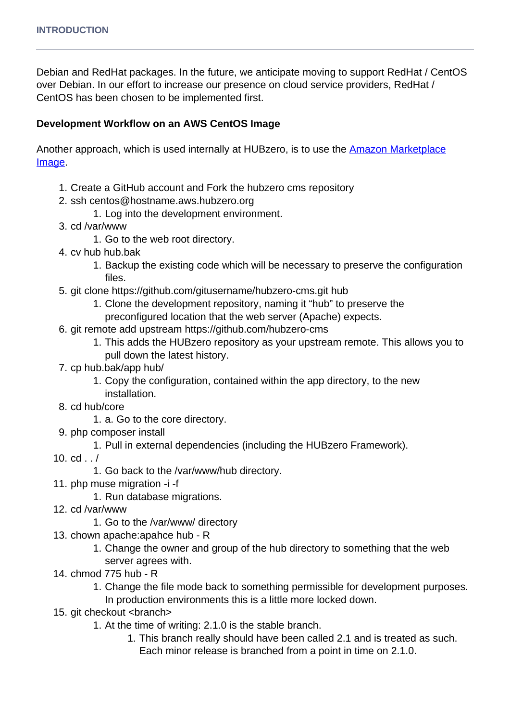Debian and RedHat packages. In the future, we anticipate moving to support RedHat / CentOS over Debian. In our effort to increase our presence on cloud service providers, RedHat / CentOS has been chosen to be implemented first.

#### **Development Workflow on an AWS CentOS Image**

Another approach, which is used internally at HUBzero, is to use the **Amazon Marketplace** [Image.](https://aws.amazon.com/marketplace/pp/B00THHMFEQ)

- 1. Create a GitHub account and Fork the hubzero cms repository
- 2. ssh centos@hostname.aws.hubzero.org
	- 1. Log into the development environment.
- 3. cd /var/www
	- 1. Go to the web root directory.
- 4. cv hub hub.bak
	- 1. Backup the existing code which will be necessary to preserve the configuration files.
- 5. git clone https://github.com/gitusername/hubzero-cms.git hub
	- 1. Clone the development repository, naming it "hub" to preserve the
		- preconfigured location that the web server (Apache) expects.
- 6. git remote add upstream https://github.com/hubzero-cms
	- 1. This adds the HUBzero repository as your upstream remote. This allows you to pull down the latest history.
- 7. cp hub.bak/app hub/
	- 1. Copy the configuration, contained within the app directory, to the new installation.
- 8. cd hub/core
	- 1. a. Go to the core directory.
- 9. php composer install
	- 1. Pull in external dependencies (including the HUBzero Framework).
- 10. cd . . /
	- 1. Go back to the /var/www/hub directory.
- 11. php muse migration -i -f
	- 1. Run database migrations.
- 12. cd /var/www
	- 1. Go to the /var/www/ directory
- 13. chown apache:apahce hub R
	- 1. Change the owner and group of the hub directory to something that the web server agrees with.
- 14. chmod 775 hub R
	- 1. Change the file mode back to something permissible for development purposes.
	- In production environments this is a little more locked down.
- 15. git checkout <br anch>
	- 1. At the time of writing: 2.1.0 is the stable branch.
		- 1. This branch really should have been called 2.1 and is treated as such. Each minor release is branched from a point in time on 2.1.0.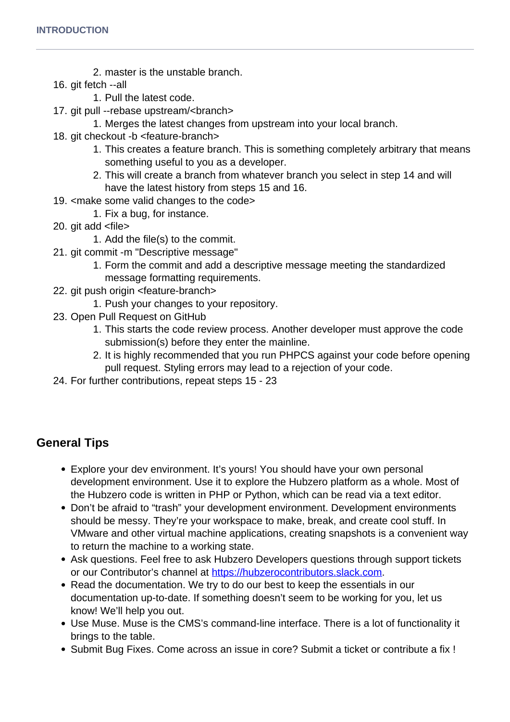- 2. master is the unstable branch.
- 16. git fetch --all
	- 1. Pull the latest code.
- 17. git pull --rebase upstream/<branch>
	- 1. Merges the latest changes from upstream into your local branch.
- 18. git checkout -b <feature-branch>
	- 1. This creates a feature branch. This is something completely arbitrary that means something useful to you as a developer.
	- 2. This will create a branch from whatever branch you select in step 14 and will have the latest history from steps 15 and 16.
- 19. <make some valid changes to the code>
	- 1. Fix a bug, for instance.
- 20. git add <file>
	- 1. Add the file(s) to the commit.
- 21. git commit -m "Descriptive message"
	- 1. Form the commit and add a descriptive message meeting the standardized message formatting requirements.
- 22. git push origin <feature-branch>
	- 1. Push your changes to your repository.
- 23. Open Pull Request on GitHub
	- 1. This starts the code review process. Another developer must approve the code submission(s) before they enter the mainline.
	- 2. It is highly recommended that you run PHPCS against your code before opening pull request. Styling errors may lead to a rejection of your code.
- 24. For further contributions, repeat steps 15 23

# **General Tips**

- Explore your dev environment. It's yours! You should have your own personal development environment. Use it to explore the Hubzero platform as a whole. Most of the Hubzero code is written in PHP or Python, which can be read via a text editor.
- Don't be afraid to "trash" your development environment. Development environments should be messy. They're your workspace to make, break, and create cool stuff. In VMware and other virtual machine applications, creating snapshots is a convenient way to return the machine to a working state.
- Ask questions. Feel free to ask Hubzero Developers questions through support tickets or our Contributor's channel at<https://hubzerocontributors.slack.com>.
- Read the documentation. We try to do our best to keep the essentials in our documentation up-to-date. If something doesn't seem to be working for you, let us know! We'll help you out.
- Use Muse. Muse is the CMS's command-line interface. There is a lot of functionality it brings to the table.
- Submit Bug Fixes. Come across an issue in core? Submit a ticket or contribute a fix !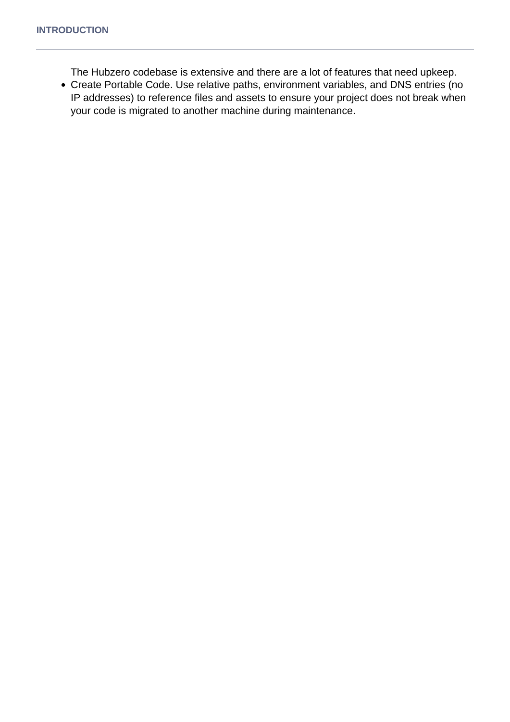The Hubzero codebase is extensive and there are a lot of features that need upkeep.

Create Portable Code. Use relative paths, environment variables, and DNS entries (no IP addresses) to reference files and assets to ensure your project does not break when your code is migrated to another machine during maintenance.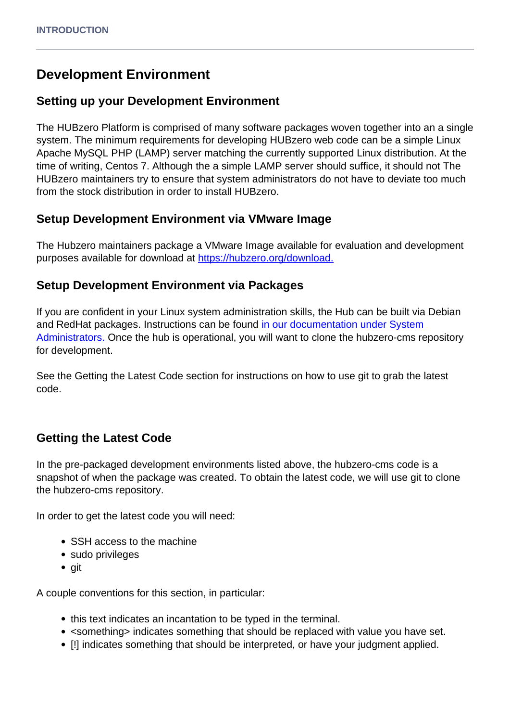# **Development Environment**

### **Setting up your Development Environment**

The HUBzero Platform is comprised of many software packages woven together into an a single system. The minimum requirements for developing HUBzero web code can be a simple Linux Apache MySQL PHP (LAMP) server matching the currently supported Linux distribution. At the time of writing, Centos 7. Although the a simple LAMP server should suffice, it should not The HUBzero maintainers try to ensure that system administrators do not have to deviate too much from the stock distribution in order to install HUBzero.

## **Setup Development Environment via VMware Image**

The Hubzero maintainers package a VMware Image available for evaluation and development purposes available for download at [https://hubzero.org/download.](https://hubzero.org/download)

## **Setup Development Environment via Packages**

If you are confident in your Linux system administration skills, the Hub can be built via Debian and RedHat packages. Instructions can be found [in our documentation under System](documentation/22/installation) [Administrators.](documentation/22/installation) Once the hub is operational, you will want to clone the hubzero-cms repository for development.

See the Getting the Latest Code section for instructions on how to use git to grab the latest code.

# **Getting the Latest Code**

In the pre-packaged development environments listed above, the hubzero-cms code is a snapshot of when the package was created. To obtain the latest code, we will use git to clone the hubzero-cms repository.

In order to get the latest code you will need:

- SSH access to the machine
- sudo privileges
- git

A couple conventions for this section, in particular:

- this text indicates an incantation to be typed in the terminal.
- <something> indicates something that should be replaced with value you have set.
- [!] indicates something that should be interpreted, or have your judgment applied.